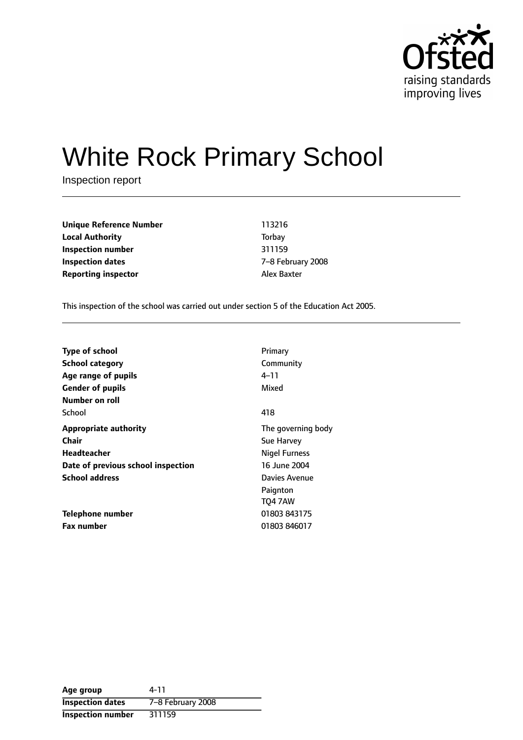

# White Rock Primary School

Inspection report

**Unique Reference Number** 113216 **Local Authority** Torbay **Inspection number** 311159 **Inspection dates** The Technical Control of  $Z-8$  February 2008 **Reporting inspector Alex Baxter** 

This inspection of the school was carried out under section 5 of the Education Act 2005.

| <b>Type of school</b>              | Primary              |
|------------------------------------|----------------------|
| <b>School category</b>             | Community            |
| Age range of pupils                | 4–11                 |
| <b>Gender of pupils</b>            | Mixed                |
| Number on roll                     |                      |
| School                             | 418                  |
| <b>Appropriate authority</b>       | The governing body   |
| <b>Chair</b>                       | Sue Harvey           |
| Headteacher                        | <b>Nigel Furness</b> |
| Date of previous school inspection | 16 June 2004         |
| <b>School address</b>              | Davies Avenue        |
|                                    | Paignton             |
|                                    | <b>TO4 7AW</b>       |
| Telephone number                   | 01803 843175         |
| <b>Fax number</b>                  | 01803 846017         |

| Age group                | 4-11              |
|--------------------------|-------------------|
| <b>Inspection dates</b>  | 7-8 February 2008 |
| <b>Inspection number</b> | 311159            |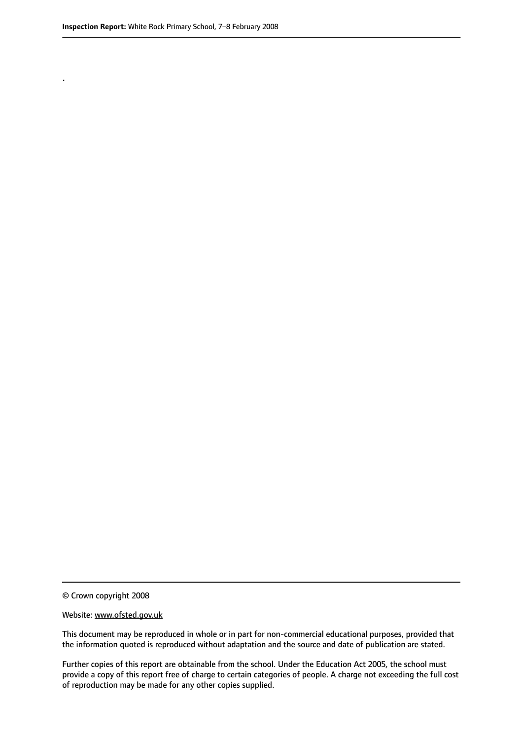.

© Crown copyright 2008

#### Website: www.ofsted.gov.uk

This document may be reproduced in whole or in part for non-commercial educational purposes, provided that the information quoted is reproduced without adaptation and the source and date of publication are stated.

Further copies of this report are obtainable from the school. Under the Education Act 2005, the school must provide a copy of this report free of charge to certain categories of people. A charge not exceeding the full cost of reproduction may be made for any other copies supplied.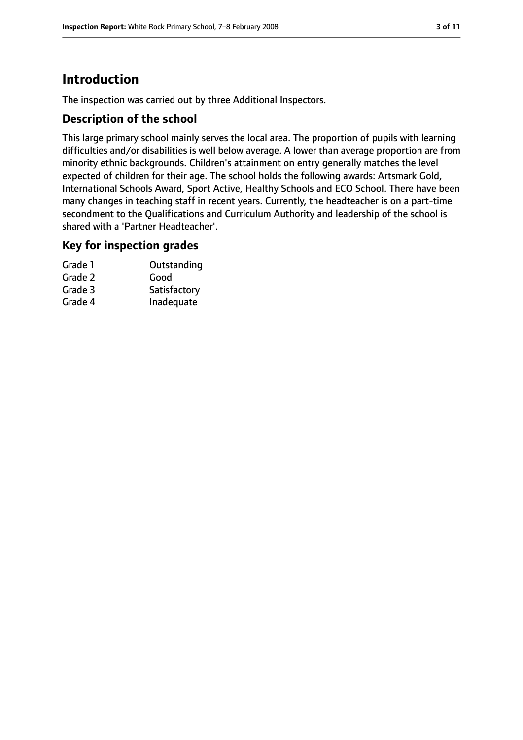# **Introduction**

The inspection was carried out by three Additional Inspectors.

#### **Description of the school**

This large primary school mainly serves the local area. The proportion of pupils with learning difficulties and/or disabilities is well below average. A lower than average proportion are from minority ethnic backgrounds. Children's attainment on entry generally matches the level expected of children for their age. The school holds the following awards: Artsmark Gold, International Schools Award, Sport Active, Healthy Schools and ECO School. There have been many changes in teaching staff in recent years. Currently, the headteacher is on a part-time secondment to the Qualifications and Curriculum Authority and leadership of the school is shared with a 'Partner Headteacher'.

#### **Key for inspection grades**

| Grade 1 | Outstanding  |
|---------|--------------|
| Grade 2 | Good         |
| Grade 3 | Satisfactory |
| Grade 4 | Inadequate   |
|         |              |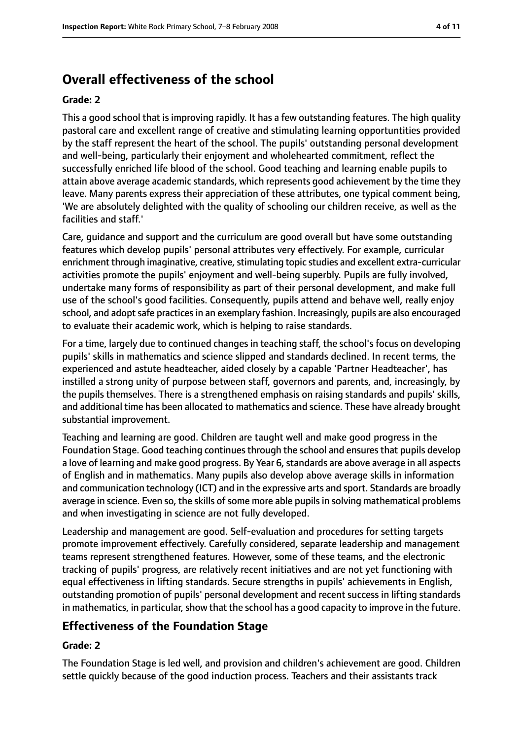# **Overall effectiveness of the school**

#### **Grade: 2**

This a good school that is improving rapidly. It has a few outstanding features. The high quality pastoral care and excellent range of creative and stimulating learning opportuntities provided by the staff represent the heart of the school. The pupils' outstanding personal development and well-being, particularly their enjoyment and wholehearted commitment, reflect the successfully enriched life blood of the school. Good teaching and learning enable pupils to attain above average academic standards, which represents good achievement by the time they leave. Many parents express their appreciation of these attributes, one typical comment being, 'We are absolutely delighted with the quality of schooling our children receive, as well as the facilities and staff.'

Care, guidance and support and the curriculum are good overall but have some outstanding features which develop pupils' personal attributes very effectively. For example, curricular enrichment through imaginative, creative, stimulating topic studies and excellent extra-curricular activities promote the pupils' enjoyment and well-being superbly. Pupils are fully involved, undertake many forms of responsibility as part of their personal development, and make full use of the school's good facilities. Consequently, pupils attend and behave well, really enjoy school, and adopt safe practices in an exemplary fashion. Increasingly, pupils are also encouraged to evaluate their academic work, which is helping to raise standards.

For a time, largely due to continued changes in teaching staff, the school's focus on developing pupils' skills in mathematics and science slipped and standards declined. In recent terms, the experienced and astute headteacher, aided closely by a capable 'Partner Headteacher', has instilled a strong unity of purpose between staff, governors and parents, and, increasingly, by the pupils themselves. There is a strengthened emphasis on raising standards and pupils' skills, and additional time has been allocated to mathematics and science. These have already brought substantial improvement.

Teaching and learning are good. Children are taught well and make good progress in the Foundation Stage. Good teaching continues through the school and ensures that pupils develop a love of learning and make good progress. By Year 6, standards are above average in all aspects of English and in mathematics. Many pupils also develop above average skills in information and communication technology (ICT) and in the expressive arts and sport. Standards are broadly average in science. Even so, the skills of some more able pupils in solving mathematical problems and when investigating in science are not fully developed.

Leadership and management are good. Self-evaluation and procedures for setting targets promote improvement effectively. Carefully considered, separate leadership and management teams represent strengthened features. However, some of these teams, and the electronic tracking of pupils' progress, are relatively recent initiatives and are not yet functioning with equal effectiveness in lifting standards. Secure strengths in pupils' achievements in English, outstanding promotion of pupils' personal development and recent success in lifting standards in mathematics, in particular, show that the school has a good capacity to improve in the future.

# **Effectiveness of the Foundation Stage**

#### **Grade: 2**

The Foundation Stage is led well, and provision and children's achievement are good. Children settle quickly because of the good induction process. Teachers and their assistants track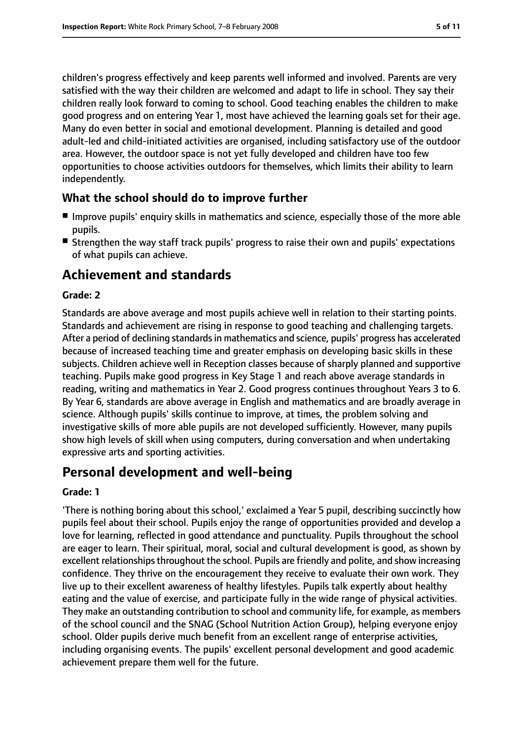children's progress effectively and keep parents well informed and involved. Parents are very satisfied with the way their children are welcomed and adapt to life in school. They say their children really look forward to coming to school. Good teaching enables the children to make good progress and on entering Year 1, most have achieved the learning goals set for their age. Many do even better in social and emotional development. Planning is detailed and good adult-led and child-initiated activities are organised, including satisfactory use of the outdoor area. However, the outdoor space is not yet fully developed and children have too few opportunities to choose activities outdoors for themselves, which limits their ability to learn independently.

#### **What the school should do to improve further**

- Improve pupils' enquiry skills in mathematics and science, especially those of the more able pupils.
- Strengthen the way staff track pupils' progress to raise their own and pupils' expectations of what pupils can achieve.

# **Achievement and standards**

#### **Grade: 2**

Standards are above average and most pupils achieve well in relation to their starting points. Standards and achievement are rising in response to good teaching and challenging targets. After a period of declining standards in mathematics and science, pupils' progress has accelerated because of increased teaching time and greater emphasis on developing basic skills in these subjects. Children achieve well in Reception classes because of sharply planned and supportive teaching. Pupils make good progress in Key Stage 1 and reach above average standards in reading, writing and mathematics in Year 2. Good progress continues throughout Years 3 to 6. By Year 6, standards are above average in English and mathematics and are broadly average in science. Although pupils' skills continue to improve, at times, the problem solving and investigative skills of more able pupils are not developed sufficiently. However, many pupils show high levels of skill when using computers, during conversation and when undertaking expressive arts and sporting activities.

# **Personal development and well-being**

#### **Grade: 1**

'There is nothing boring about this school,' exclaimed a Year 5 pupil, describing succinctly how pupils feel about their school. Pupils enjoy the range of opportunities provided and develop a love for learning, reflected in good attendance and punctuality. Pupils throughout the school are eager to learn. Their spiritual, moral, social and cultural development is good, as shown by excellent relationships throughout the school. Pupils are friendly and polite, and show increasing confidence. They thrive on the encouragement they receive to evaluate their own work. They live up to their excellent awareness of healthy lifestyles. Pupils talk expertly about healthy eating and the value of exercise, and participate fully in the wide range of physical activities. They make an outstanding contribution to school and community life, for example, as members of the school council and the SNAG (School Nutrition Action Group), helping everyone enjoy school. Older pupils derive much benefit from an excellent range of enterprise activities, including organising events. The pupils' excellent personal development and good academic achievement prepare them well for the future.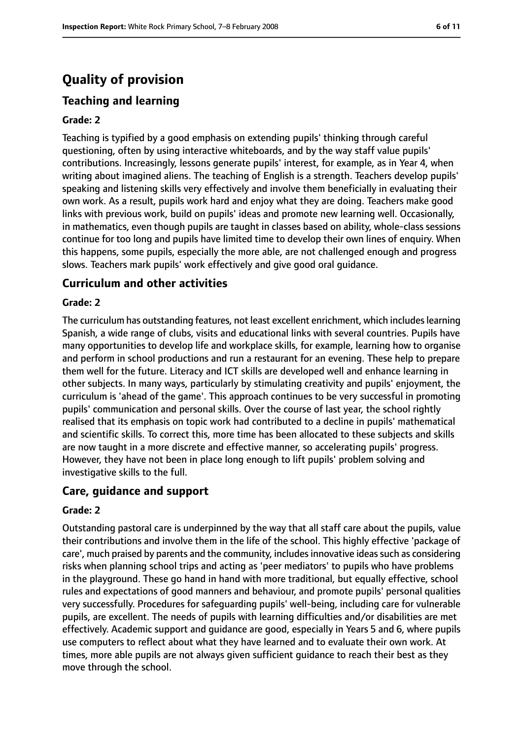# **Quality of provision**

# **Teaching and learning**

#### **Grade: 2**

Teaching is typified by a good emphasis on extending pupils' thinking through careful questioning, often by using interactive whiteboards, and by the way staff value pupils' contributions. Increasingly, lessons generate pupils' interest, for example, as in Year 4, when writing about imagined aliens. The teaching of English is a strength. Teachers develop pupils' speaking and listening skills very effectively and involve them beneficially in evaluating their own work. As a result, pupils work hard and enjoy what they are doing. Teachers make good links with previous work, build on pupils' ideas and promote new learning well. Occasionally, in mathematics, even though pupils are taught in classes based on ability, whole-class sessions continue for too long and pupils have limited time to develop their own lines of enquiry. When this happens, some pupils, especially the more able, are not challenged enough and progress slows. Teachers mark pupils' work effectively and give good oral guidance.

#### **Curriculum and other activities**

#### **Grade: 2**

The curriculum has outstanding features, not least excellent enrichment, which includeslearning Spanish, a wide range of clubs, visits and educational links with several countries. Pupils have many opportunities to develop life and workplace skills, for example, learning how to organise and perform in school productions and run a restaurant for an evening. These help to prepare them well for the future. Literacy and ICT skills are developed well and enhance learning in other subjects. In many ways, particularly by stimulating creativity and pupils' enjoyment, the curriculum is 'ahead of the game'. This approach continues to be very successful in promoting pupils' communication and personal skills. Over the course of last year, the school rightly realised that its emphasis on topic work had contributed to a decline in pupils' mathematical and scientific skills. To correct this, more time has been allocated to these subjects and skills are now taught in a more discrete and effective manner, so accelerating pupils' progress. However, they have not been in place long enough to lift pupils' problem solving and investigative skills to the full.

#### **Care, guidance and support**

#### **Grade: 2**

Outstanding pastoral care is underpinned by the way that all staff care about the pupils, value their contributions and involve them in the life of the school. This highly effective 'package of care', much praised by parents and the community, includes innovative ideas such as considering risks when planning school trips and acting as 'peer mediators' to pupils who have problems in the playground. These go hand in hand with more traditional, but equally effective, school rules and expectations of good manners and behaviour, and promote pupils' personal qualities very successfully. Procedures for safeguarding pupils' well-being, including care for vulnerable pupils, are excellent. The needs of pupils with learning difficulties and/or disabilities are met effectively. Academic support and guidance are good, especially in Years 5 and 6, where pupils use computers to reflect about what they have learned and to evaluate their own work. At times, more able pupils are not always given sufficient guidance to reach their best as they move through the school.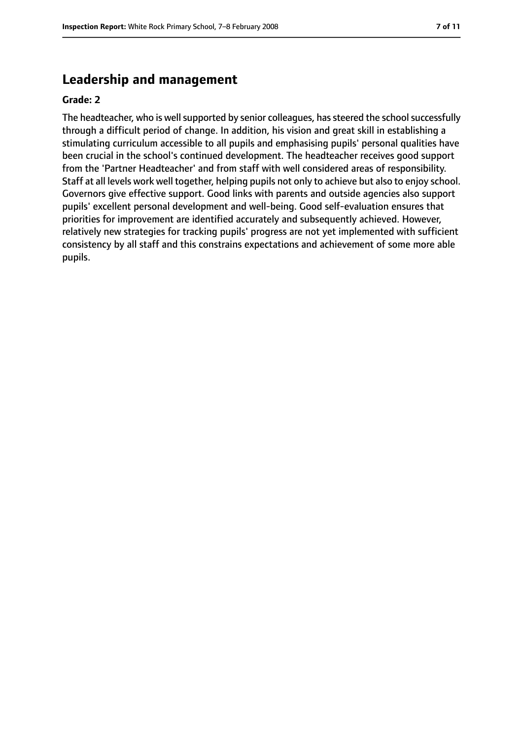# **Leadership and management**

#### **Grade: 2**

The headteacher, who is well supported by senior colleagues, has steered the school successfully through a difficult period of change. In addition, his vision and great skill in establishing a stimulating curriculum accessible to all pupils and emphasising pupils' personal qualities have been crucial in the school's continued development. The headteacher receives good support from the 'Partner Headteacher' and from staff with well considered areas of responsibility. Staff at all levels work well together, helping pupils not only to achieve but also to enjoy school. Governors give effective support. Good links with parents and outside agencies also support pupils' excellent personal development and well-being. Good self-evaluation ensures that priorities for improvement are identified accurately and subsequently achieved. However, relatively new strategies for tracking pupils' progress are not yet implemented with sufficient consistency by all staff and this constrains expectations and achievement of some more able pupils.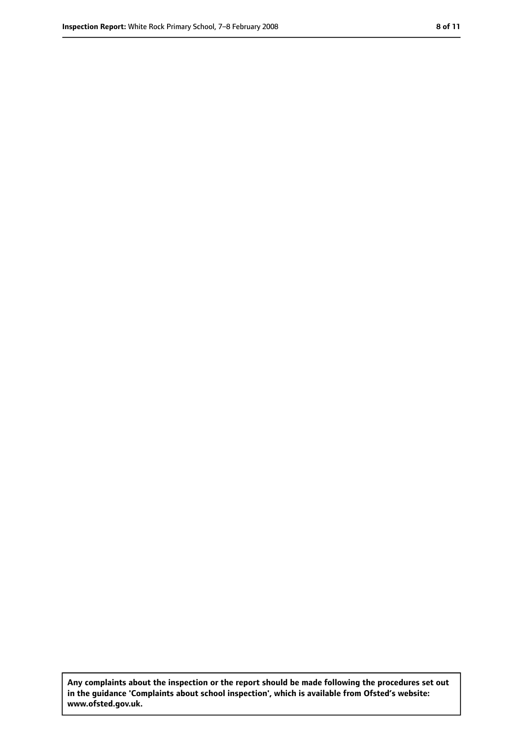**Any complaints about the inspection or the report should be made following the procedures set out in the guidance 'Complaints about school inspection', which is available from Ofsted's website: www.ofsted.gov.uk.**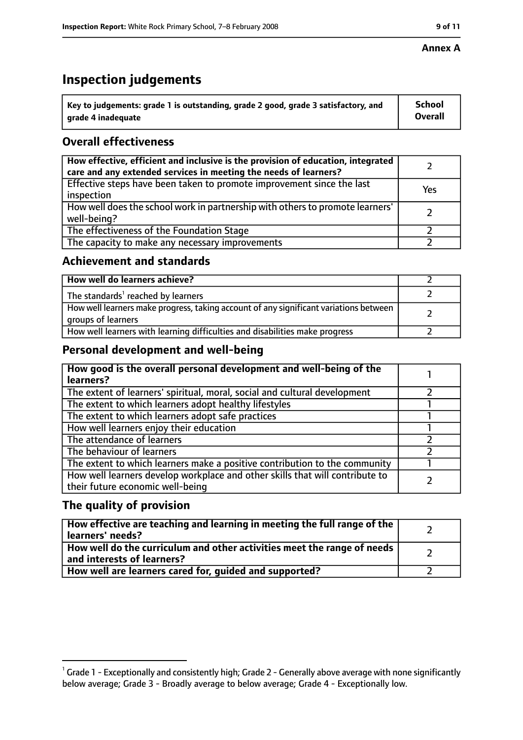#### **Annex A**

# **Inspection judgements**

| $^{\backprime}$ Key to judgements: grade 1 is outstanding, grade 2 good, grade 3 satisfactory, and | <b>School</b>  |
|----------------------------------------------------------------------------------------------------|----------------|
| arade 4 inadequate                                                                                 | <b>Overall</b> |

# **Overall effectiveness**

| How effective, efficient and inclusive is the provision of education, integrated<br>care and any extended services in meeting the needs of learners? |     |
|------------------------------------------------------------------------------------------------------------------------------------------------------|-----|
| Effective steps have been taken to promote improvement since the last<br>inspection                                                                  | Yes |
| How well does the school work in partnership with others to promote learners'<br>well-being?                                                         |     |
| The effectiveness of the Foundation Stage                                                                                                            |     |
| The capacity to make any necessary improvements                                                                                                      |     |

#### **Achievement and standards**

| How well do learners achieve?                                                                               |  |
|-------------------------------------------------------------------------------------------------------------|--|
| The standards <sup>1</sup> reached by learners                                                              |  |
| How well learners make progress, taking account of any significant variations between<br>groups of learners |  |
| How well learners with learning difficulties and disabilities make progress                                 |  |

#### **Personal development and well-being**

| How good is the overall personal development and well-being of the<br>learners?                                  |  |
|------------------------------------------------------------------------------------------------------------------|--|
| The extent of learners' spiritual, moral, social and cultural development                                        |  |
| The extent to which learners adopt healthy lifestyles                                                            |  |
| The extent to which learners adopt safe practices                                                                |  |
| How well learners enjoy their education                                                                          |  |
| The attendance of learners                                                                                       |  |
| The behaviour of learners                                                                                        |  |
| The extent to which learners make a positive contribution to the community                                       |  |
| How well learners develop workplace and other skills that will contribute to<br>their future economic well-being |  |

#### **The quality of provision**

| How effective are teaching and learning in meeting the full range of the<br>learners' needs?          |  |
|-------------------------------------------------------------------------------------------------------|--|
| How well do the curriculum and other activities meet the range of needs<br>and interests of learners? |  |
| How well are learners cared for, guided and supported?                                                |  |

 $^1$  Grade 1 - Exceptionally and consistently high; Grade 2 - Generally above average with none significantly below average; Grade 3 - Broadly average to below average; Grade 4 - Exceptionally low.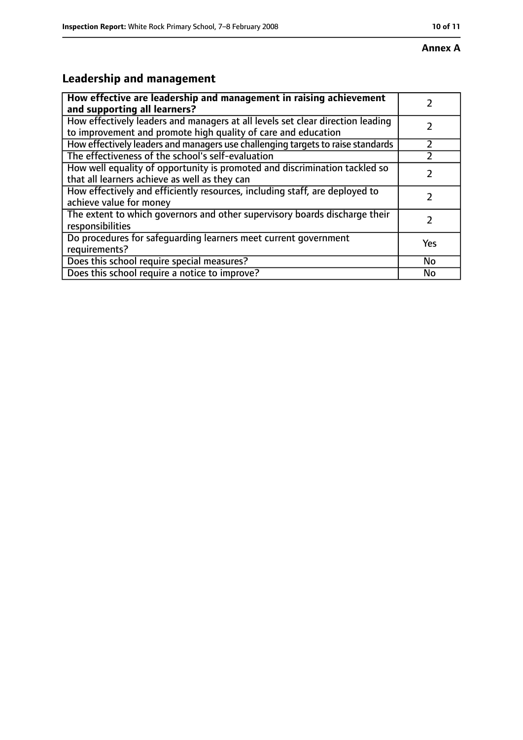# **Leadership and management**

| How effective are leadership and management in raising achievement<br>and supporting all learners?                                              |     |
|-------------------------------------------------------------------------------------------------------------------------------------------------|-----|
| How effectively leaders and managers at all levels set clear direction leading<br>to improvement and promote high quality of care and education |     |
| How effectively leaders and managers use challenging targets to raise standards                                                                 |     |
| The effectiveness of the school's self-evaluation                                                                                               |     |
| How well equality of opportunity is promoted and discrimination tackled so<br>that all learners achieve as well as they can                     |     |
| How effectively and efficiently resources, including staff, are deployed to<br>achieve value for money                                          |     |
| The extent to which governors and other supervisory boards discharge their<br>responsibilities                                                  |     |
| Do procedures for safequarding learners meet current government<br>requirements?                                                                | Yes |
| Does this school require special measures?                                                                                                      | No  |
| Does this school require a notice to improve?                                                                                                   | No  |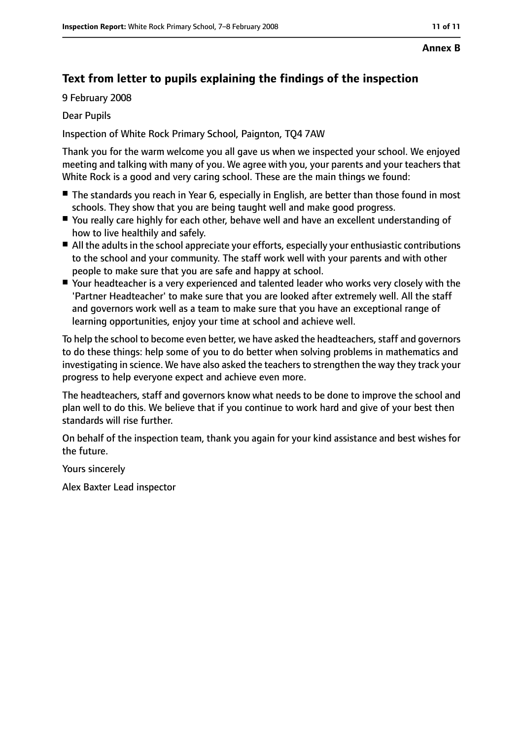#### **Annex B**

# **Text from letter to pupils explaining the findings of the inspection**

9 February 2008

Dear Pupils

Inspection of White Rock Primary School, Paignton, TQ4 7AW

Thank you for the warm welcome you all gave us when we inspected your school. We enjoyed meeting and talking with many of you. We agree with you, your parents and your teachers that White Rock is a good and very caring school. These are the main things we found:

- The standards you reach in Year 6, especially in English, are better than those found in most schools. They show that you are being taught well and make good progress.
- You really care highly for each other, behave well and have an excellent understanding of how to live healthily and safely.
- All the adults in the school appreciate your efforts, especially your enthusiastic contributions to the school and your community. The staff work well with your parents and with other people to make sure that you are safe and happy at school.
- Your headteacher is a very experienced and talented leader who works very closely with the 'Partner Headteacher' to make sure that you are looked after extremely well. All the staff and governors work well as a team to make sure that you have an exceptional range of learning opportunities, enjoy your time at school and achieve well.

To help the school to become even better, we have asked the headteachers, staff and governors to do these things: help some of you to do better when solving problems in mathematics and investigating in science. We have also asked the teachers to strengthen the way they track your progress to help everyone expect and achieve even more.

The headteachers, staff and governors know what needs to be done to improve the school and plan well to do this. We believe that if you continue to work hard and give of your best then standards will rise further.

On behalf of the inspection team, thank you again for your kind assistance and best wishes for the future.

Yours sincerely

Alex Baxter Lead inspector